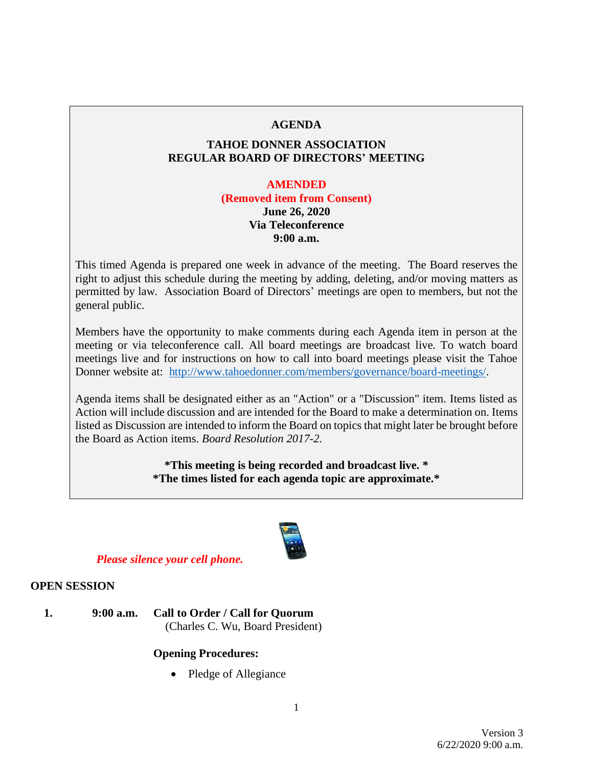### **AGENDA**

# **TAHOE DONNER ASSOCIATION REGULAR BOARD OF DIRECTORS' MEETING**

#### **AMENDED**

**(Removed item from Consent) June 26, 2020 Via Teleconference 9:00 a.m.**

This timed Agenda is prepared one week in advance of the meeting. The Board reserves the right to adjust this schedule during the meeting by adding, deleting, and/or moving matters as permitted by law. Association Board of Directors' meetings are open to members, but not the general public.

Members have the opportunity to make comments during each Agenda item in person at the meeting or via teleconference call. All board meetings are broadcast live. To watch board meetings live and for instructions on how to call into board meetings please visit the Tahoe Donner website at: [http://www.tahoedonner.com/members/governance/board-meetings/.](http://www.tahoedonner.com/members/governance/board-meetings/)

Agenda items shall be designated either as an "Action" or a "Discussion" item. Items listed as Action will include discussion and are intended for the Board to make a determination on. Items listed as Discussion are intended to inform the Board on topics that might later be brought before the Board as Action items. *Board Resolution 2017-2.*

> **\*This meeting is being recorded and broadcast live. \* \*The times listed for each agenda topic are approximate.\***



# *Please silence your cell phone.*

### **OPEN SESSION**

**1. 9:00 a.m. Call to Order / Call for Quorum** (Charles C. Wu, Board President)

# **Opening Procedures:**

• Pledge of Allegiance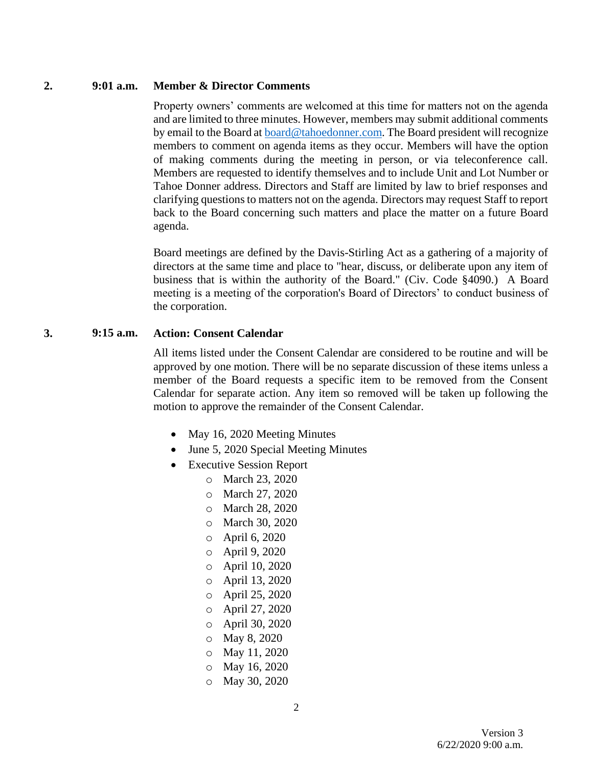#### **2. 9:01 a.m. Member & Director Comments**

Property owners' comments are welcomed at this time for matters not on the agenda and are limited to three minutes. However, members may submit additional comments by email to the Board at [board@tahoedonner.com.](mailto:board@tahoedonner.com) The Board president will recognize members to comment on agenda items as they occur. Members will have the option of making comments during the meeting in person, or via teleconference call. Members are requested to identify themselves and to include Unit and Lot Number or Tahoe Donner address. Directors and Staff are limited by law to brief responses and clarifying questions to matters not on the agenda. Directors may request Staff to report back to the Board concerning such matters and place the matter on a future Board agenda.

Board meetings are defined by the Davis-Stirling Act as a gathering of a majority of directors at the same time and place to "hear, discuss, or deliberate upon any item of business that is within the authority of the Board." (Civ. Code §4090.) A Board meeting is a meeting of the corporation's Board of Directors' to conduct business of the corporation.

### **3. 9:15 a.m. Action: Consent Calendar**

All items listed under the Consent Calendar are considered to be routine and will be approved by one motion. There will be no separate discussion of these items unless a member of the Board requests a specific item to be removed from the Consent Calendar for separate action. Any item so removed will be taken up following the motion to approve the remainder of the Consent Calendar.

- May 16, 2020 Meeting Minutes
- June 5, 2020 Special Meeting Minutes
- Executive Session Report
	- o March 23, 2020
	- o March 27, 2020
	- o March 28, 2020
	- o March 30, 2020
	- o April 6, 2020
	- o April 9, 2020
	- o April 10, 2020
	- o April 13, 2020
	- o April 25, 2020
	- o April 27, 2020
	- o April 30, 2020
	- o May 8, 2020
	- o May 11, 2020
	- o May 16, 2020
	- o May 30, 2020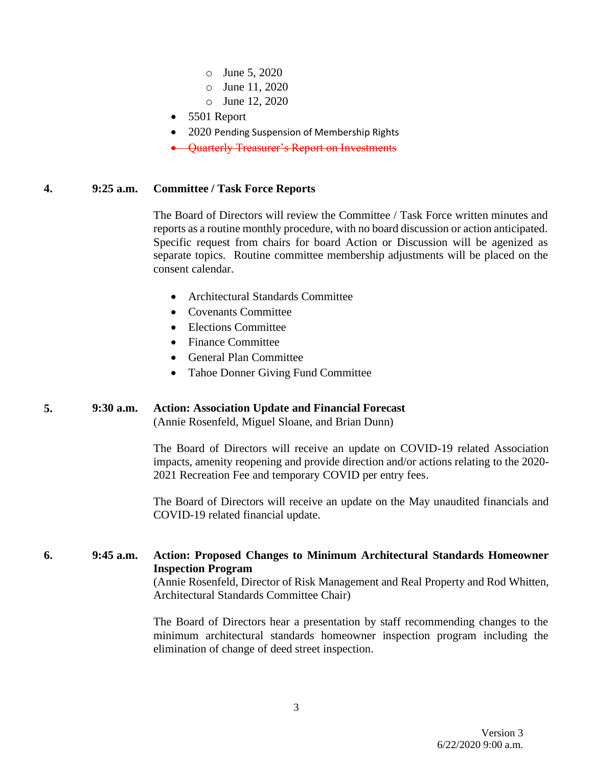- o June 5, 2020
- o June 11, 2020
- o June 12, 2020
- 5501 Report
- 2020 Pending Suspension of Membership Rights
- Quarterly Treasurer's Report on Investments

#### **4. 9:25 a.m. Committee / Task Force Reports**

The Board of Directors will review the Committee / Task Force written minutes and reports as a routine monthly procedure, with no board discussion or action anticipated. Specific request from chairs for board Action or Discussion will be agenized as separate topics. Routine committee membership adjustments will be placed on the consent calendar.

- Architectural Standards Committee
- Covenants Committee
- Elections Committee
- Finance Committee
- General Plan Committee
- Tahoe Donner Giving Fund Committee

# **5. 9:30 a.m. Action: Association Update and Financial Forecast**

(Annie Rosenfeld, Miguel Sloane, and Brian Dunn)

The Board of Directors will receive an update on COVID-19 related Association impacts, amenity reopening and provide direction and/or actions relating to the 2020- 2021 Recreation Fee and temporary COVID per entry fees.

The Board of Directors will receive an update on the May unaudited financials and COVID-19 related financial update.

### **6. 9:45 a.m. Action: Proposed Changes to Minimum Architectural Standards Homeowner Inspection Program**

(Annie Rosenfeld, Director of Risk Management and Real Property and Rod Whitten, Architectural Standards Committee Chair)

The Board of Directors hear a presentation by staff recommending changes to the minimum architectural standards homeowner inspection program including the elimination of change of deed street inspection.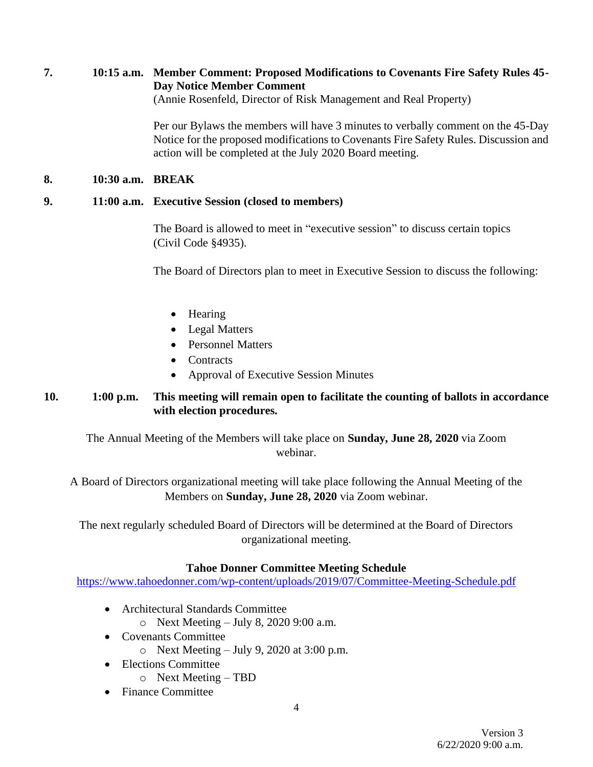**7. 10:15 a.m. Member Comment: Proposed Modifications to Covenants Fire Safety Rules 45- Day Notice Member Comment**

(Annie Rosenfeld, Director of Risk Management and Real Property)

Per our Bylaws the members will have 3 minutes to verbally comment on the 45-Day Notice for the proposed modifications to Covenants Fire Safety Rules. Discussion and action will be completed at the July 2020 Board meeting.

### **8. 10:30 a.m. BREAK**

### **9. 11:00 a.m. Executive Session (closed to members)**

The Board is allowed to meet in "executive session" to discuss certain topics (Civil Code §4935).

The Board of Directors plan to meet in Executive Session to discuss the following:

- Hearing
- Legal Matters
- Personnel Matters
- Contracts
- Approval of Executive Session Minutes

# **10. 1:00 p.m. This meeting will remain open to facilitate the counting of ballots in accordance with election procedures.**

The Annual Meeting of the Members will take place on **Sunday, June 28, 2020** via Zoom webinar.

A Board of Directors organizational meeting will take place following the Annual Meeting of the Members on **Sunday, June 28, 2020** via Zoom webinar.

The next regularly scheduled Board of Directors will be determined at the Board of Directors organizational meeting.

# **Tahoe Donner Committee Meeting Schedule**

<https://www.tahoedonner.com/wp-content/uploads/2019/07/Committee-Meeting-Schedule.pdf>

- Architectural Standards Committee
	- o Next Meeting July 8, 2020 9:00 a.m.
- Covenants Committee
	- $\circ$  Next Meeting July 9, 2020 at 3:00 p.m.
- Elections Committee
	- o Next Meeting TBD
- Finance Committee